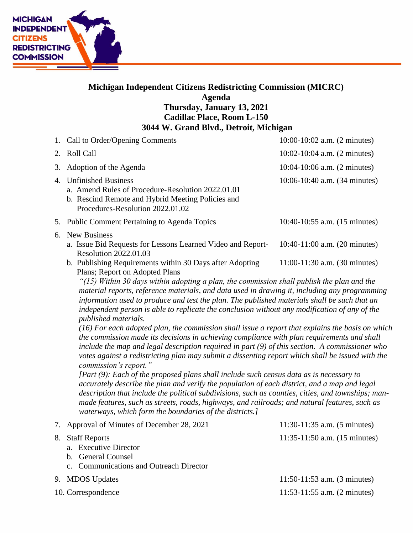

## **Michigan Independent Citizens Redistricting Commission (MICRC) Agenda Thursday, January 13, 2021 Cadillac Place, Room L-150 3044 W. Grand Blvd., Detroit, Michigan**

| 1. Call to Order/Opening Comments                                                                                                                                    | $10:00-10:02$ a.m. $(2 \text{ minutes})$  |
|----------------------------------------------------------------------------------------------------------------------------------------------------------------------|-------------------------------------------|
| 2. Roll Call                                                                                                                                                         | $10:02 - 10:04$ a.m. (2 minutes)          |
| 3. Adoption of the Agenda                                                                                                                                            | $10:04-10:06$ a.m. $(2 \text{ minutes})$  |
| 4. Unfinished Business<br>a. Amend Rules of Procedure-Resolution 2022.01.01<br>b. Rescind Remote and Hybrid Meeting Policies and<br>Procedures-Resolution 2022.01.02 | 10:06-10:40 a.m. (34 minutes)             |
| 5. Public Comment Pertaining to Agenda Topics                                                                                                                        | 10:40-10:55 a.m. $(15 \text{ minutes})$   |
| 6. New Business<br>a. Issue Bid Requests for Lessons Learned Video and Report-<br><b>Resolution 2022.01.03</b>                                                       | 10:40-11:00 a.m. $(20 \text{ minutes})$   |
| b. Publishing Requirements within 30 Days after Adopting                                                                                                             | $11:00-11:30$ a.m. $(30 \text{ minutes})$ |

Plans; Report on Adopted Plans

*"(15) Within 30 days within adopting a plan, the commission shall publish the plan and the material reports, reference materials, and data used in drawing it, including any programming information used to produce and test the plan. The published materials shall be such that an independent person is able to replicate the conclusion without any modification of any of the published materials.*

*(16) For each adopted plan, the commission shall issue a report that explains the basis on which the commission made its decisions in achieving compliance with plan requirements and shall include the map and legal description required in part (9) of this section. A commissioner who votes against a redistricting plan may submit a dissenting report which shall be issued with the commission's report."* 

*[Part (9): Each of the proposed plans shall include such census data as is necessary to accurately describe the plan and verify the population of each district, and a map and legal description that include the political subdivisions, such as counties, cities, and townships; manmade features, such as streets, roads, highways, and railroads; and natural features, such as waterways, which form the boundaries of the districts.]*

|    | 7. Approval of Minutes of December 28, 2021                                                                    | $11:30-11:35$ a.m. $(5 \text{ minutes})$  |
|----|----------------------------------------------------------------------------------------------------------------|-------------------------------------------|
| 8. | <b>Staff Reports</b><br>a. Executive Director<br>b. General Counsel<br>c. Communications and Outreach Director | $11:35-11:50$ a.m. $(15 \text{ minutes})$ |
|    | 9. MDOS Updates                                                                                                | $11:50-11:53$ a.m. $(3 \text{ minutes})$  |
|    | 10. Correspondence                                                                                             | $11:53-11:55$ a.m. $(2 \text{ minutes})$  |